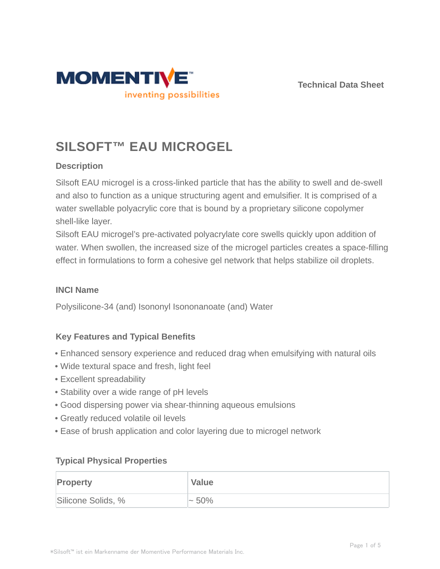



# **SILSOFT™ EAU MICROGEL**

# **Description**

Silsoft EAU microgel is a cross-linked particle that has the ability to swell and de-swell and also to function as a unique structuring agent and emulsifier. It is comprised of a water swellable polyacrylic core that is bound by a proprietary silicone copolymer shell-like layer.

Silsoft EAU microgel's pre-activated polyacrylate core swells quickly upon addition of water. When swollen, the increased size of the microgel particles creates a space-filling effect in formulations to form a cohesive gel network that helps stabilize oil droplets.

## **INCI Name**

Polysilicone-34 (and) Isononyl Isononanoate (and) Water

## **Key Features and Typical Benefits**

- Enhanced sensory experience and reduced drag when emulsifying with natural oils
- Wide textural space and fresh, light feel
- Excellent spreadability
- Stability over a wide range of pH levels
- Good dispersing power via shear-thinning aqueous emulsions
- Greatly reduced volatile oil levels
- Ease of brush application and color layering due to microgel network

## **Typical Physical Properties**

| <b>Property</b>    | <b>Value</b> |
|--------------------|--------------|
| Silicone Solids, % | $\sim 50\%$  |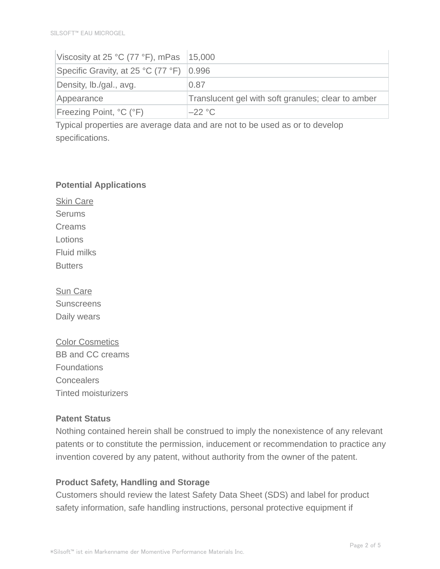| Viscosity at 25 °C (77 °F), mPas $ 15,000\rangle$ |                                                    |
|---------------------------------------------------|----------------------------------------------------|
| Specific Gravity, at 25 °C (77 °F)   0.996        |                                                    |
| Density, Ib./gal., avg.                           | 0.87                                               |
| Appearance                                        | Translucent gel with soft granules; clear to amber |
| <b>Freezing Point, °C (°F)</b>                    | $-22 °C$                                           |

Typical properties are average data and are not to be used as or to develop specifications.

#### **Potential Applications**

Skin Care **Serums** Creams Lotions Fluid milks **Butters** 

Sun Care **Sunscreens** Daily wears

Color Cosmetics BB and CC creams **Foundations Concealers** Tinted moisturizers

## **Patent Status**

Nothing contained herein shall be construed to imply the nonexistence of any relevant patents or to constitute the permission, inducement or recommendation to practice any invention covered by any patent, without authority from the owner of the patent.

## **Product Safety, Handling and Storage**

Customers should review the latest Safety Data Sheet (SDS) and label for product safety information, safe handling instructions, personal protective equipment if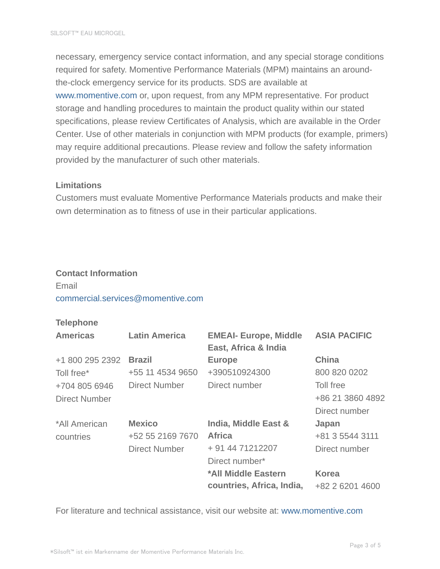necessary, emergency service contact information, and any special storage conditions required for safety. Momentive Performance Materials (MPM) maintains an aroundthe-clock emergency service for its products. SDS are available at www.momentive.com or, upon request, from any MPM representative. For product storage and handling procedures to maintain the product quality within our stated specifications, please review Certificates of Analysis, which are available in the Order Center. Use of other materials in conjunction with MPM products (for example, primers) may require additional precautions. Please review and follow the safety information provided by the manufacturer of such other materials.

## **Limitations**

Customers must evaluate Momentive Performance Materials products and make their own determination as to fitness of use in their particular applications.

#### **Contact Information**

# Email commercial.services@momentive.com

#### **Telephone**

| <b>Americas</b> | <b>Latin America</b> | <b>EMEAI- Europe, Middle</b><br>East, Africa & India | <b>ASIA PACIFIC</b> |
|-----------------|----------------------|------------------------------------------------------|---------------------|
| +1 800 295 2392 | <b>Brazil</b>        | <b>Europe</b>                                        | <b>China</b>        |
| Toll free*      | +55 11 4534 9650     | +390510924300                                        | 800 820 0202        |
| +704 805 6946   | <b>Direct Number</b> | Direct number                                        | Toll free           |
| Direct Number   |                      |                                                      | +86 21 3860 4892    |
|                 |                      |                                                      | Direct number       |
| *All American   | <b>Mexico</b>        | India, Middle East &                                 | Japan               |
| countries       | +52 55 2169 7670     | <b>Africa</b>                                        | +81 3 5544 3111     |
|                 | <b>Direct Number</b> | + 91 44 71212207                                     | Direct number       |
|                 |                      | Direct number*                                       |                     |
|                 |                      | *All Middle Eastern                                  | <b>Korea</b>        |
|                 |                      | countries, Africa, India,                            | +82 2 6201 4600     |

For literature and technical assistance, visit our website at: www.momentive.com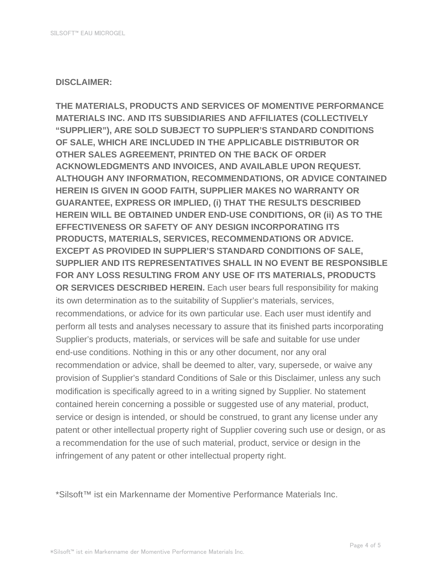#### **DISCLAIMER:**

**THE MATERIALS, PRODUCTS AND SERVICES OF MOMENTIVE PERFORMANCE MATERIALS INC. AND ITS SUBSIDIARIES AND AFFILIATES (COLLECTIVELY "SUPPLIER"), ARE SOLD SUBJECT TO SUPPLIER'S STANDARD CONDITIONS OF SALE, WHICH ARE INCLUDED IN THE APPLICABLE DISTRIBUTOR OR OTHER SALES AGREEMENT, PRINTED ON THE BACK OF ORDER ACKNOWLEDGMENTS AND INVOICES, AND AVAILABLE UPON REQUEST. ALTHOUGH ANY INFORMATION, RECOMMENDATIONS, OR ADVICE CONTAINED HEREIN IS GIVEN IN GOOD FAITH, SUPPLIER MAKES NO WARRANTY OR GUARANTEE, EXPRESS OR IMPLIED, (i) THAT THE RESULTS DESCRIBED HEREIN WILL BE OBTAINED UNDER END-USE CONDITIONS, OR (ii) AS TO THE EFFECTIVENESS OR SAFETY OF ANY DESIGN INCORPORATING ITS PRODUCTS, MATERIALS, SERVICES, RECOMMENDATIONS OR ADVICE. EXCEPT AS PROVIDED IN SUPPLIER'S STANDARD CONDITIONS OF SALE, SUPPLIER AND ITS REPRESENTATIVES SHALL IN NO EVENT BE RESPONSIBLE FOR ANY LOSS RESULTING FROM ANY USE OF ITS MATERIALS, PRODUCTS OR SERVICES DESCRIBED HEREIN.** Each user bears full responsibility for making its own determination as to the suitability of Supplier's materials, services, recommendations, or advice for its own particular use. Each user must identify and perform all tests and analyses necessary to assure that its finished parts incorporating Supplier's products, materials, or services will be safe and suitable for use under end-use conditions. Nothing in this or any other document, nor any oral recommendation or advice, shall be deemed to alter, vary, supersede, or waive any provision of Supplier's standard Conditions of Sale or this Disclaimer, unless any such modification is specifically agreed to in a writing signed by Supplier. No statement contained herein concerning a possible or suggested use of any material, product, service or design is intended, or should be construed, to grant any license under any patent or other intellectual property right of Supplier covering such use or design, or as a recommendation for the use of such material, product, service or design in the infringement of any patent or other intellectual property right.

\*Silsoft™ ist ein Markenname der Momentive Performance Materials Inc.